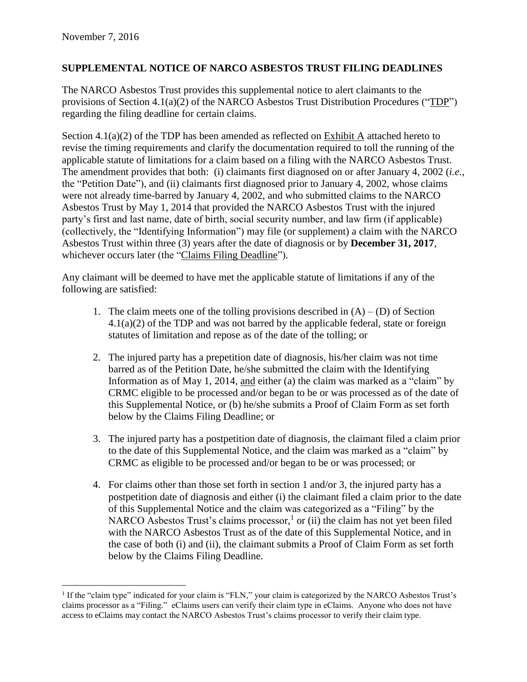## **SUPPLEMENTAL NOTICE OF NARCO ASBESTOS TRUST FILING DEADLINES**

The NARCO Asbestos Trust provides this supplemental notice to alert claimants to the provisions of Section 4.1(a)(2) of the NARCO Asbestos Trust Distribution Procedures ("TDP") regarding the filing deadline for certain claims.

Section 4.1(a)(2) of the TDP has been amended as reflected on Exhibit A attached hereto to revise the timing requirements and clarify the documentation required to toll the running of the applicable statute of limitations for a claim based on a filing with the NARCO Asbestos Trust. The amendment provides that both: (i) claimants first diagnosed on or after January 4, 2002 (*i.e.*, the "Petition Date"), and (ii) claimants first diagnosed prior to January 4, 2002, whose claims were not already time-barred by January 4, 2002, and who submitted claims to the NARCO Asbestos Trust by May 1, 2014 that provided the NARCO Asbestos Trust with the injured party's first and last name, date of birth, social security number, and law firm (if applicable) (collectively, the "Identifying Information") may file (or supplement) a claim with the NARCO Asbestos Trust within three (3) years after the date of diagnosis or by **December 31, 2017**, whichever occurs later (the "Claims Filing Deadline").

Any claimant will be deemed to have met the applicable statute of limitations if any of the following are satisfied:

- 1. The claim meets one of the tolling provisions described in  $(A) (D)$  of Section 4.1(a)(2) of the TDP and was not barred by the applicable federal, state or foreign statutes of limitation and repose as of the date of the tolling; or
- 2. The injured party has a prepetition date of diagnosis, his/her claim was not time barred as of the Petition Date, he/she submitted the claim with the Identifying Information as of May 1, 2014, and either (a) the claim was marked as a "claim" by CRMC eligible to be processed and/or began to be or was processed as of the date of this Supplemental Notice, or (b) he/she submits a Proof of Claim Form as set forth below by the Claims Filing Deadline; or
- 3. The injured party has a postpetition date of diagnosis, the claimant filed a claim prior to the date of this Supplemental Notice, and the claim was marked as a "claim" by CRMC as eligible to be processed and/or began to be or was processed; or
- 4. For claims other than those set forth in section 1 and/or 3, the injured party has a postpetition date of diagnosis and either (i) the claimant filed a claim prior to the date of this Supplemental Notice and the claim was categorized as a "Filing" by the NARCO Asbestos Trust's claims processor,<sup>1</sup> or (ii) the claim has not yet been filed with the NARCO Asbestos Trust as of the date of this Supplemental Notice, and in the case of both (i) and (ii), the claimant submits a Proof of Claim Form as set forth below by the Claims Filing Deadline.

 $\overline{a}$ 1 If the "claim type" indicated for your claim is "FLN," your claim is categorized by the NARCO Asbestos Trust's claims processor as a "Filing." eClaims users can verify their claim type in eClaims. Anyone who does not have access to eClaims may contact the NARCO Asbestos Trust's claims processor to verify their claim type.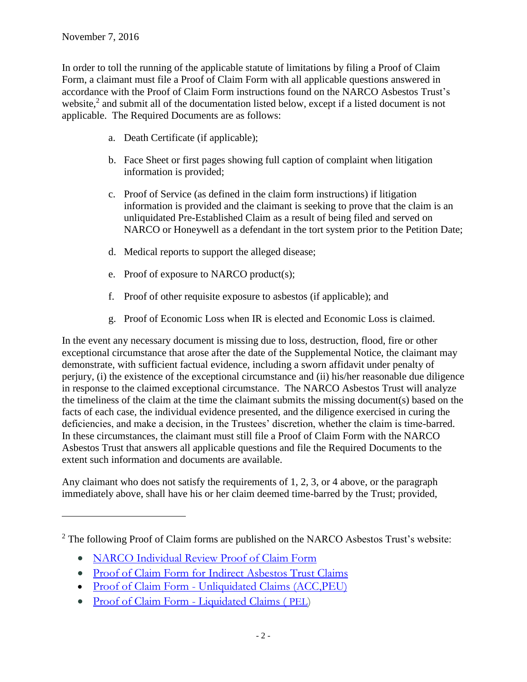$\overline{a}$ 

In order to toll the running of the applicable statute of limitations by filing a Proof of Claim Form, a claimant must file a Proof of Claim Form with all applicable questions answered in accordance with the Proof of Claim Form instructions found on the NARCO Asbestos Trust's website, $2$  and submit all of the documentation listed below, except if a listed document is not applicable. The Required Documents are as follows:

- a. Death Certificate (if applicable);
- b. Face Sheet or first pages showing full caption of complaint when litigation information is provided;
- c. Proof of Service (as defined in the claim form instructions) if litigation information is provided and the claimant is seeking to prove that the claim is an unliquidated Pre-Established Claim as a result of being filed and served on NARCO or Honeywell as a defendant in the tort system prior to the Petition Date;
- d. Medical reports to support the alleged disease;
- e. Proof of exposure to NARCO product(s);
- f. Proof of other requisite exposure to asbestos (if applicable); and
- g. Proof of Economic Loss when IR is elected and Economic Loss is claimed.

In the event any necessary document is missing due to loss, destruction, flood, fire or other exceptional circumstance that arose after the date of the Supplemental Notice, the claimant may demonstrate, with sufficient factual evidence, including a sworn affidavit under penalty of perjury, (i) the existence of the exceptional circumstance and (ii) his/her reasonable due diligence in response to the claimed exceptional circumstance. The NARCO Asbestos Trust will analyze the timeliness of the claim at the time the claimant submits the missing document(s) based on the facts of each case, the individual evidence presented, and the diligence exercised in curing the deficiencies, and make a decision, in the Trustees' discretion, whether the claim is time-barred. In these circumstances, the claimant must still file a Proof of Claim Form with the NARCO Asbestos Trust that answers all applicable questions and file the Required Documents to the extent such information and documents are available.

Any claimant who does not satisfy the requirements of 1, 2, 3, or 4 above, or the paragraph immediately above, shall have his or her claim deemed time-barred by the Trust; provided,

- [NARCO Individual Review Proof of Claim Form](http://www.claimsres.com/documents/NAR/NARCO%20Individual%20Review%20Proof%20of%20Claim%20Form.pdf)
- [Proof of Claim Form for Indirect Asbestos Trust Claims](http://www.claimsres.com/documents/NAR/NARCO%20Indirect%20Claim%20Form%20as%20adopted%20FINAL.pdf)
- Proof of Claim Form [Unliquidated Claims \(ACC,PEU\)](http://www.claimsres.com/documents/NAR/NARCO%20POC%20for%20Unliquidated%20claims-August%2011,%202016%20Rev%206%20(2-29-2016).pdf)
- [Proof of Claim Form -](http://www.claimsres.com/documents/NAR/NARCO%20POC%20--%20PEL%20Claims%20Rev%201%20September%206,%202013.pdf) Liquidated Claims ( PEL)

 $2$  The following Proof of Claim forms are published on the NARCO Asbestos Trust's website: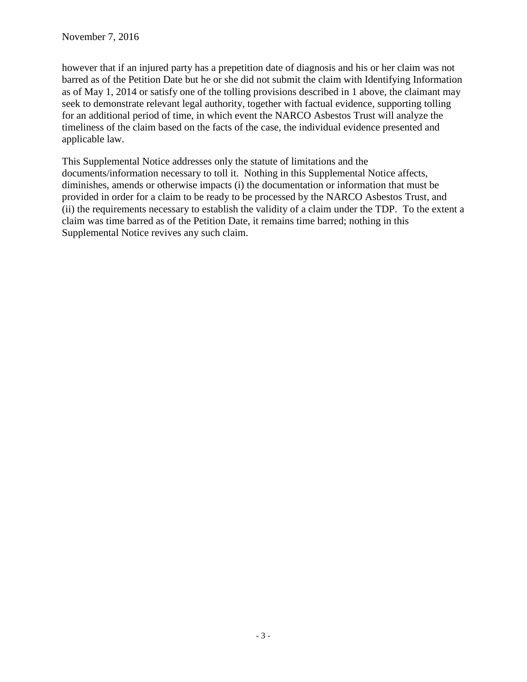however that if an injured party has a prepetition date of diagnosis and his or her claim was not barred as of the Petition Date but he or she did not submit the claim with Identifying Information as of May 1, 2014 or satisfy one of the tolling provisions described in 1 above, the claimant may seek to demonstrate relevant legal authority, together with factual evidence, supporting tolling for an additional period of time, in which event the NARCO Asbestos Trust will analyze the timeliness of the claim based on the facts of the case, the individual evidence presented and applicable law.

This Supplemental Notice addresses only the statute of limitations and the documents/information necessary to toll it. Nothing in this Supplemental Notice affects, diminishes, amends or otherwise impacts (i) the documentation or information that must be provided in order for a claim to be ready to be processed by the NARCO Asbestos Trust, and (ii) the requirements necessary to establish the validity of a claim under the TDP. To the extent a claim was time barred as of the Petition Date, it remains time barred; nothing in this Supplemental Notice revives any such claim.